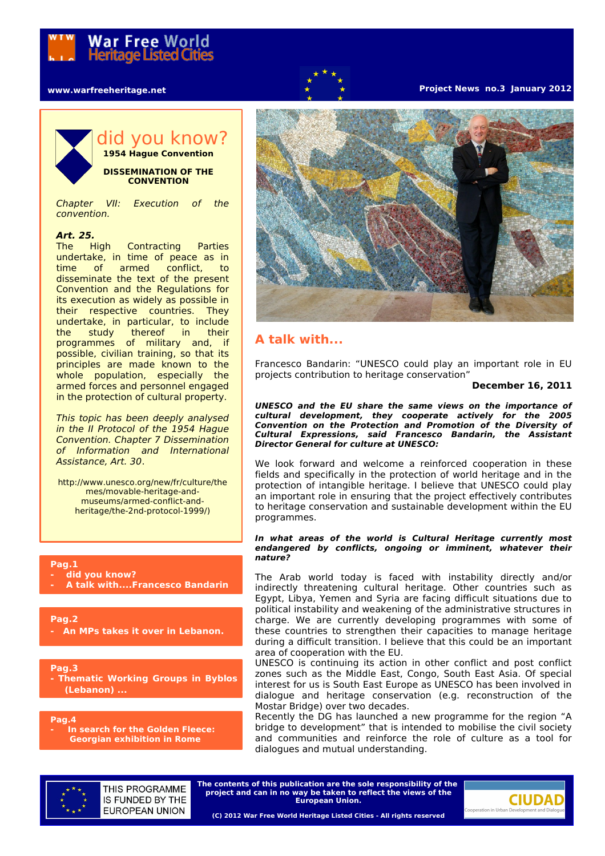## **www.warfreeheritage.net**

## **Project News no.3 January 2012**



## did you know? **1954 Hague Convention**

**DISSEMINATION OF THE CONVENTION**

Chapter VII: Execution of the convention.

## **Art. 25.**

The High Contracting Parties undertake, in time of peace as in time of armed conflict, to disseminate the text of the present Convention and the Regulations for its execution as widely as possible in their respective countries. They undertake, in particular, to include the study thereof in their programmes of military and, if possible, civilian training, so that its principles are made known to the whole population, especially the armed forces and personnel engaged in the protection of cultural property.

This topic has been deeply analysed in the II Protocol of the 1954 Hague Convention. Chapter 7 Dissemination of Information and International Assistance, Art. 30.

http://www.unesco.org/new/fr/culture/the mes/movable-heritage-andmuseums/armed-conflict-andheritage/the-2nd-protocol-1999/)

**Pag.1**

- **did you know?**
- **A talk with....Francesco Bandarin**

**Pag.2 - An MPs takes it over in Lebanon.**

**Pag.3 - Thematic Working Groups in Byblos (Lebanon) ...**

**Pag.4**

**In search for the Golden Fleece: Georgian exhibition in Rome**



# **A talk with...**

Francesco Bandarin: "UNESCO could play an important role in EU projects contribution to heritage conservation"

## **December 16, 2011**

**UNESCO and the EU share the same views on the importance of cultural development, they cooperate actively for the 2005 Convention on the Protection and Promotion of the Diversity of Cultural Expressions, said Francesco Bandarin, the Assistant Director General for culture at UNESCO:**

We look forward and welcome a reinforced cooperation in these fields and specifically in the protection of world heritage and in the protection of intangible heritage. I believe that UNESCO could play an important role in ensuring that the project effectively contributes to heritage conservation and sustainable development within the EU programmes.

### **In what areas of the world is Cultural Heritage currently most endangered by conflicts, ongoing or imminent, whatever their nature?**

The Arab world today is faced with instability directly and/or indirectly threatening cultural heritage. Other countries such as Egypt, Libya, Yemen and Syria are facing difficult situations due to political instability and weakening of the administrative structures in charge. We are currently developing programmes with some of these countries to strengthen their capacities to manage heritage during a difficult transition. I believe that this could be an important area of cooperation with the EU.

UNESCO is continuing its action in other conflict and post conflict zones such as the Middle East, Congo, South East Asia. Of special interest for us is South East Europe as UNESCO has been involved in dialogue and heritage conservation (e.g. reconstruction of the Mostar Bridge) over two decades.

Recently the DG has launched a new programme for the region "A bridge to development" that is intended to mobilise the civil society and communities and reinforce the role of culture as a tool for dialogues and mutual understanding.



THIS PROGRAMME IS FUNDED BY THE **EUROPEAN UNION** 

**The contents of this publication are the sole responsibility of the project and can in no way be taken to reflect the views of the European Union.**

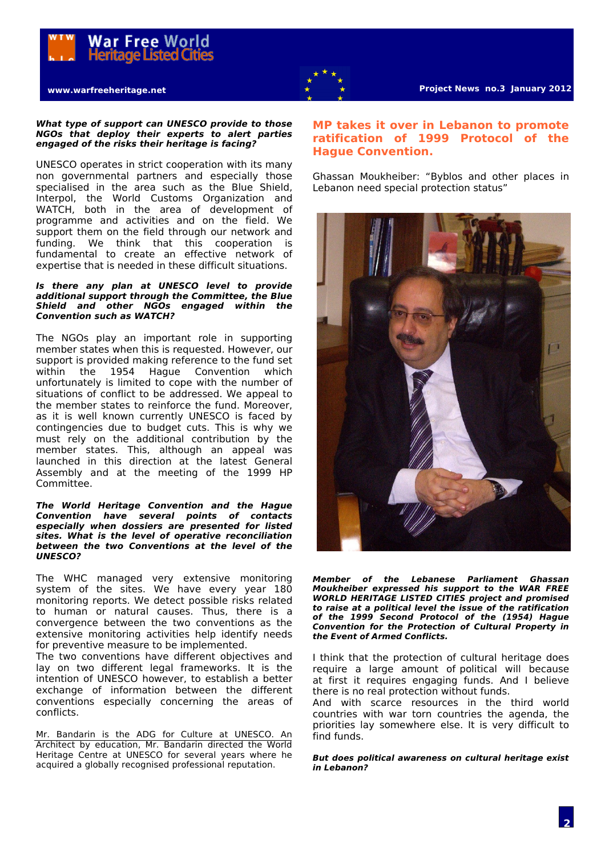



## **What type of support can UNESCO provide to those NGOs that deploy their experts to alert parties engaged of the risks their heritage is facing?**

UNESCO operates in strict cooperation with its many non governmental partners and especially those specialised in the area such as the Blue Shield, Interpol, the World Customs Organization and WATCH, both in the area of development of programme and activities and on the field. We support them on the field through our network and funding. We think that this cooperation is fundamental to create an effective network of expertise that is needed in these difficult situations.

## **Is there any plan at UNESCO level to provide additional support through the Committee, the Blue Shield and other NGOs engaged within the Convention such as WATCH?**

The NGOs play an important role in supporting member states when this is requested. However, our support is provided making reference to the fund set<br>within the 1954 Haque Convention which Hague Convention which unfortunately is limited to cope with the number of situations of conflict to be addressed. We appeal to the member states to reinforce the fund. Moreover, as it is well known currently UNESCO is faced by contingencies due to budget cuts. This is why we must rely on the additional contribution by the member states. This, although an appeal was launched in this direction at the latest General Assembly and at the meeting of the 1999 HP Committee.

## **The World Heritage Convention and the Hague Convention have several points of contacts especially when dossiers are presented for listed sites. What is the level of operative reconciliation between the two Conventions at the level of the UNESCO?**

The WHC managed very extensive monitoring system of the sites. We have every year 180 monitoring reports. We detect possible risks related to human or natural causes. Thus, there is a convergence between the two conventions as the extensive monitoring activities help identify needs for preventive measure to be implemented.

The two conventions have different objectives and lay on two different legal frameworks. It is the intention of UNESCO however, to establish a better exchange of information between the different conventions especially concerning the areas of conflicts.

Mr. Bandarin is the ADG for Culture at UNESCO. An Architect by education, Mr. Bandarin directed the World Heritage Centre at UNESCO for several years where he acquired a globally recognised professional reputation.

## **MP takes it over in Lebanon to promote ratification of 1999 Protocol of the Hague Convention.**

Ghassan Moukheiber: "Byblos and other places in Lebanon need special protection status"



**Member of the Lebanese Parliament Ghassan Moukheiber expressed his support to the WAR FREE WORLD HERITAGE LISTED CITIES project and promised to raise at a political level the issue of the ratification of the 1999 Second Protocol of the (1954) Hague Convention for the Protection of Cultural Property in the Event of Armed Conflicts.**

I think that the protection of cultural heritage does require a large amount of political will because at first it requires engaging funds. And I believe there is no real protection without funds.

And with scarce resources in the third world countries with war torn countries the agenda, the priorities lay somewhere else. It is very difficult to find funds.

**But does political awareness on cultural heritage exist in Lebanon?**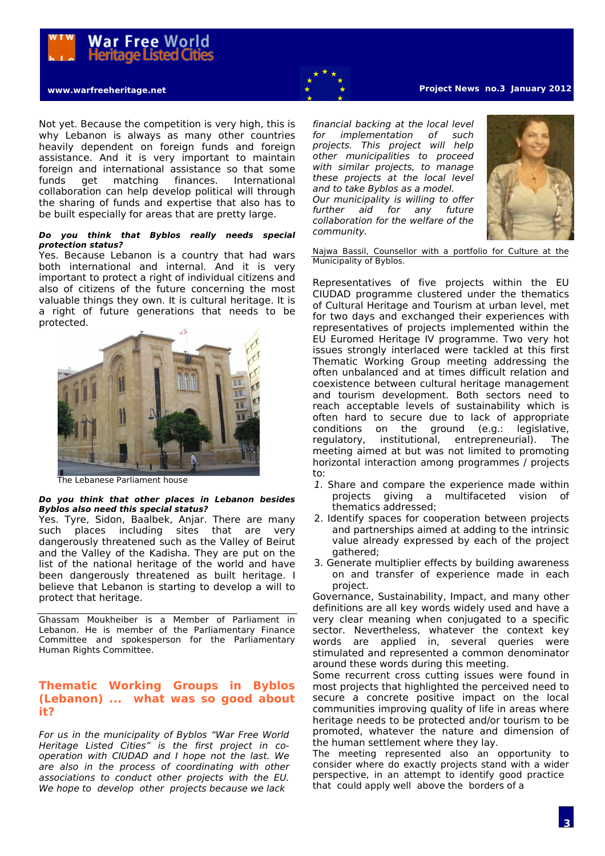

Not yet. Because the competition is very high, this is why Lebanon is always as many other countries heavily dependent on foreign funds and foreign assistance. And it is very important to maintain foreign and international assistance so that some funds get matching finances. International collaboration can help develop political will through the sharing of funds and expertise that also has to be built especially for areas that are pretty large.

### **Do you think that Byblos really needs special protection status?**

Yes. Because Lebanon is a country that had wars both international and internal. And it is very important to protect a right of individual citizens and also of citizens of the future concerning the most valuable things they own. It is cultural heritage. It is a right of future generations that needs to be protected.



The Lebanese Parliament house

## **Do you think that other places in Lebanon besides Byblos also need this special status?**

Yes. Tyre, Sidon, Baalbek, Anjar. There are many such places including sites that are very dangerously threatened such as the Valley of Beirut and the Valley of the Kadisha. They are put on the list of the national heritage of the world and have been dangerously threatened as built heritage. I believe that Lebanon is starting to develop a will to protect that heritage.

Ghassam Moukheiber is a Member of Parliament in Lebanon. He is member of the Parliamentary Finance Committee and spokesperson for the Parliamentary Human Rights Committee.

## **Thematic Working Groups in Byblos (Lebanon) ... what was so good about it?**

For us in the municipality of Byblos "War Free World Heritage Listed Cities" is the first project in cooperation with CIUDAD and I hope not the last. We are also in the process of coordinating with other associations to conduct other projects with the EU. We hope to develop other projects because we lack

## **www.warfreeheritage.net Project News no.3 January 2012**

financial backing at the local level for implementation of such projects. This project will help other municipalities to proceed with similar projects, to manage these projects at the local level and to take Byblos as a model. Our municipality is willing to offer further aid for any future collaboration for the welfare of the community.



Najwa Bassil, Counsellor with a portfolio for Culture at the Municipality of Byblos.

Representatives of five projects within the EU CIUDAD programme clustered under the thematics of Cultural Heritage and Tourism at urban level, met for two days and exchanged their experiences with representatives of projects implemented within the EU Euromed Heritage IV programme. Two very hot issues strongly interlaced were tackled at this first Thematic Working Group meeting addressing the often unbalanced and at times difficult relation and coexistence between cultural heritage management and tourism development. Both sectors need to reach acceptable levels of sustainability which is often hard to secure due to lack of appropriate conditions on the ground (e.g.: legislative, regulatory, institutional, entrepreneurial). The meeting aimed at but was not limited to promoting horizontal interaction among programmes / projects to:

- 1. Share and compare the experience made within projects giving a multifaceted vision of thematics addressed;
- 2. Identify spaces for cooperation between projects and partnerships aimed at adding to the intrinsic value already expressed by each of the project gathered;
- 3. Generate multiplier effects by building awareness on and transfer of experience made in each project.

Governance, Sustainability, Impact, and many other definitions are all key words widely used and have a very clear meaning when conjugated to a specific sector. Nevertheless, whatever the context key words are applied in, several queries were stimulated and represented a common denominator around these words during this meeting.

Some recurrent cross cutting issues were found in most projects that highlighted the perceived need to secure a concrete positive impact on the local communities improving quality of life in areas where heritage needs to be protected and/or tourism to be promoted, whatever the nature and dimension of the human settlement where they lay.

The meeting represented also an opportunity to consider where do exactly projects stand with a wider perspective, in an attempt to identify good practice that could apply well above the borders of a